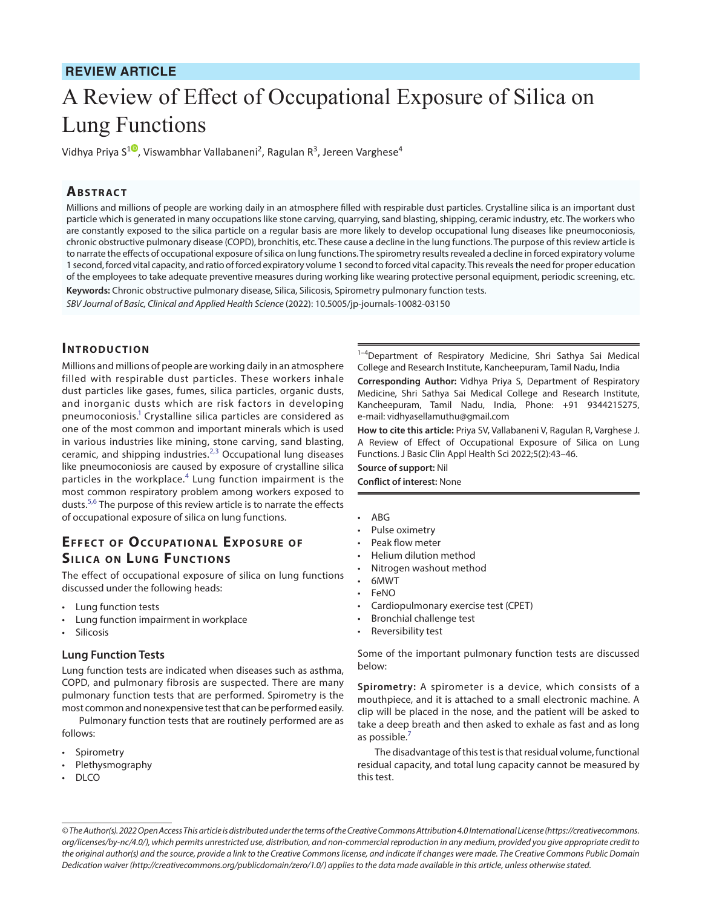# **REVIEW ARTICLE**

# A Review of Effect of Occupational Exposure of Silica on Lung Functions

Vidhya Priya S<sup>[1](https://orcid.org/0000-0002-9303-5063)0</sup>, Viswambhar Vallabaneni<sup>2</sup>, Ragulan R<sup>3</sup>, Jereen Varghese<sup>4</sup>

### **ABSTRACT**

Millions and millions of people are working daily in an atmosphere filled with respirable dust particles. Crystalline silica is an important dust particle which is generated in many occupations like stone carving, quarrying, sand blasting, shipping, ceramic industry, etc. The workers who are constantly exposed to the silica particle on a regular basis are more likely to develop occupational lung diseases like pneumoconiosis, chronic obstructive pulmonary disease (COPD), bronchitis, etc. These cause a decline in the lung functions. The purpose of this review article is to narrate the effects of occupational exposure of silica on lung functions. The spirometry results revealed a decline in forced expiratory volume 1 second, forced vital capacity, and ratio of forced expiratory volume 1 second to forced vital capacity. This reveals the need for proper education of the employees to take adequate preventive measures during working like wearing protective personal equipment, periodic screening, etc. **Keywords:** Chronic obstructive pulmonary disease, Silica, Silicosis, Spirometry pulmonary function tests.

*SBV Journal of Basic, Clinical and Applied Health Science* (2022): 10.5005/jp-journals-10082-03150

# **INTRODUCTION**

Millions and millions of people are working daily in an atmosphere filled with respirable dust particles. These workers inhale dust particles like gases, fumes, silica particles, organic dusts, and inorganic dusts which are risk factors in developing pneumoconiosis.<sup>[1](#page-2-0)</sup> Crystalline silica particles are considered as one of the most common and important minerals which is used in various industries like mining, stone carving, sand blasting, ceramic, and shipping industries. $^{2,3}$  $^{2,3}$  $^{2,3}$  $^{2,3}$  $^{2,3}$  Occupational lung diseases like pneumoconiosis are caused by exposure of crystalline silica particles in the workplace.<sup>[4](#page-2-3)</sup> Lung function impairment is the most common respiratory problem among workers exposed to dusts.<sup>[5,](#page-2-4)[6](#page-2-5)</sup> The purpose of this review article is to narrate the effects of occupational exposure of silica on lung functions.

# **EFFECT OF OCCUPATIONAL EXPOSURE OF SILICA ON LUNG FUNCTIONS**

The effect of occupational exposure of silica on lung functions discussed under the following heads:

- Lung function tests
- Lung function impairment in workplace
- **Silicosis**

#### **Lung Function Tests**

Lung function tests are indicated when diseases such as asthma, COPD, and pulmonary fibrosis are suspected. There are many pulmonary function tests that are performed. Spirometry is the most common and nonexpensive test that can be performed easily.

Pulmonary function tests that are routinely performed are as follows:

- **Spirometry**
- Plethysmography
- DLCO

<sup>1-4</sup>Department of Respiratory Medicine, Shri Sathya Sai Medical College and Research Institute, Kancheepuram, Tamil Nadu, India

**Corresponding Author:** Vidhya Priya S, Department of Respiratory Medicine, Shri Sathya Sai Medical College and Research Institute, Kancheepuram, Tamil Nadu, India, Phone: +91 9344215275, e-mail: vidhyasellamuthu@gmail.com

**How to cite this article:** Priya SV, Vallabaneni V, Ragulan R, Varghese J. A Review of Effect of Occupational Exposure of Silica on Lung Functions. J Basic Clin Appl Health Sci 2022;5(2):43–46.

**Source of support:** Nil

**Conflict of interest:** None

- ABG
- Pulse oximetry
- Peak flow meter
- Helium dilution method
- Nitrogen washout method
- 6MWT
- FeNO
- Cardiopulmonary exercise test (CPET)
- Bronchial challenge test
- Reversibility test

Some of the important pulmonary function tests are discussed below:

**Spirometry:** A spirometer is a device, which consists of a mouthpiece, and it is attached to a small electronic machine. A clip will be placed in the nose, and the patient will be asked to take a deep breath and then asked to exhale as fast and as long as possible.<sup>[7](#page-2-6)</sup>

The disadvantage of this test is that residual volume, functional residual capacity, and total lung capacity cannot be measured by this test.

*<sup>©</sup> The Author(s). 2022 Open Access This article is distributed under the terms of the Creative Commons Attribution 4.0 International License ([https://creativecommons.](https://creativecommons.org/licenses/by-nc/4.0/) [org/licenses/by-nc/4.0/](https://creativecommons.org/licenses/by-nc/4.0/)), which permits unrestricted use, distribution, and non-commercial reproduction in any medium, provided you give appropriate credit to the original author(s) and the source, provide a link to the Creative Commons license, and indicate if changes were made. The Creative Commons Public Domain Dedication waiver ([http://creativecommons.org/publicdomain/zero/1.0/\)](http://creativecommons.org/publicdomain/zero/1.0/) applies to the data made available in this article, unless otherwise stated.*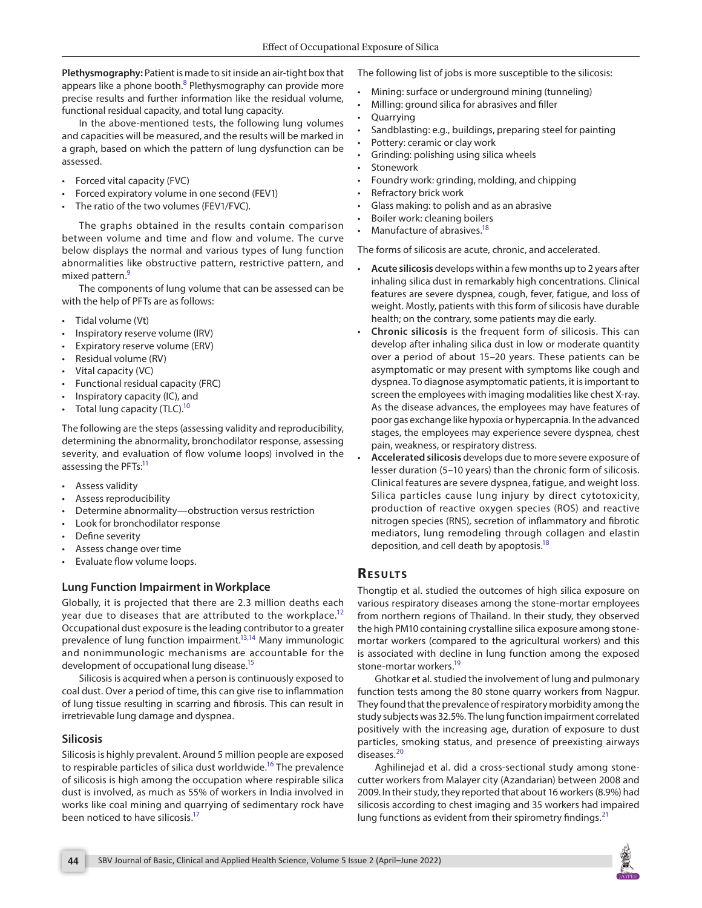**Plethysmography:** Patient is made to sit inside an air-tight box that appears like a phone booth.<sup>[8](#page-2-7)</sup> Plethysmography can provide more precise results and further information like the residual volume, functional residual capacity, and total lung capacity.

In the above-mentioned tests, the following lung volumes and capacities will be measured, and the results will be marked in a graph, based on which the pattern of lung dysfunction can be assessed.

- Forced vital capacity (FVC)
- Forced expiratory volume in one second (FEV1)
- The ratio of the two volumes (FEV1/FVC).

The graphs obtained in the results contain comparison between volume and time and flow and volume. The curve below displays the normal and various types of lung function abnormalities like obstructive pattern, restrictive pattern, and mixed pattern.<sup>[9](#page-2-8)</sup>

The components of lung volume that can be assessed can be with the help of PFTs are as follows:

- Tidal volume (Vt)
- Inspiratory reserve volume (IRV)
- Expiratory reserve volume (ERV)
- Residual volume (RV)
- Vital capacity (VC)
- Functional residual capacity (FRC)
- Inspiratory capacity (IC), and
- Total lung capacity (TLC).<sup>10</sup>

The following are the steps (assessing validity and reproducibility, determining the abnormality, bronchodilator response, assessing severity, and evaluation of flow volume loops) involved in the assessing the PFTs:<sup>11</sup>

- Assess validity
- Assess reproducibility
- Determine abnormality-obstruction versus restriction
- Look for bronchodilator response
- Define severity
- Assess change over time
- Evaluate flow volume loops.

#### **Lung Function Impairment in Workplace**

Globally, it is projected that there are 2.3 million deaths each year due to diseases that are attributed to the workplace.<sup>[12](#page-2-11)</sup> Occupational dust exposure is the leading contributor to a greater prevalence of lung function impairment.<sup>13,[14](#page-2-13)</sup> Many immunologic and nonimmunologic mechanisms are accountable for the development of occupational lung disease.<sup>15</sup>

Silicosis is acquired when a person is continuously exposed to coal dust. Over a period of time, this can give rise to inflammation of lung tissue resulting in scarring and fibrosis. This can result in irretrievable lung damage and dyspnea.

#### **Silicosis**

Silicosis is highly prevalent. Around 5 million people are exposed to respirable particles of silica dust worldwide.<sup>16</sup> The prevalence of silicosis is high among the occupation where respirable silica dust is involved, as much as 55% of workers in India involved in works like coal mining and quarrying of sedimentary rock have been noticed to have silicosis.<sup>17</sup>

The following list of jobs is more susceptible to the silicosis:

- Mining: surface or underground mining (tunneling)
- Milling: ground silica for abrasives and filler
- Quarrying
- Sandblasting: e.g., buildings, preparing steel for painting
- Pottery: ceramic or clay work
- Grinding: polishing using silica wheels
- Stonework
- Foundry work: grinding, molding, and chipping
- Refractory brick work
- Glass making: to polish and as an abrasive
- Boiler work: cleaning boilers
- Manufacture of abrasives.<sup>18</sup>

The forms of silicosis are acute, chronic, and accelerated.

- **Acute silicosis** develops within a few months up to 2 years after inhaling silica dust in remarkably high concentrations. Clinical features are severe dyspnea, cough, fever, fatigue, and loss of weight. Mostly, patients with this form of silicosis have durable health; on the contrary, some patients may die early.
- **Chronic silicosis** is the frequent form of silicosis. This can develop after inhaling silica dust in low or moderate quantity over a period of about 15–20 years. These patients can be asymptomatic or may present with symptoms like cough and dyspnea. To diagnose asymptomatic patients, it is important to screen the employees with imaging modalities like chest X-ray. As the disease advances, the employees may have features of poor gas exchange like hypoxia or hypercapnia. In the advanced stages, the employees may experience severe dyspnea, chest pain, weakness, or respiratory distress.
- **Accelerated silicosis** develops due to more severe exposure of lesser duration (5–10 years) than the chronic form of silicosis. Clinical features are severe dyspnea, fatigue, and weight loss. Silica particles cause lung injury by direct cytotoxicity, production of reactive oxygen species (ROS) and reactive nitrogen species (RNS), secretion of inflammatory and fibrotic mediators, lung remodeling through collagen and elastin deposition, and cell death by apoptosis.<sup>18</sup>

# **RESULTS**

Thongtip et al. studied the outcomes of high silica exposure on various respiratory diseases among the stone-mortar employees from northern regions of Thailand. In their study, they observed the high PM10 containing crystalline silica exposure among stonemortar workers (compared to the agricultural workers) and this is associated with decline in lung function among the exposed stone-mortar workers.<sup>19</sup>

Ghotkar et al. studied the involvement of lung and pulmonary function tests among the 80 stone quarry workers from Nagpur. They found that the prevalence of respiratory morbidity among the study subjects was 32.5%. The lung function impairment correlated positively with the increasing age, duration of exposure to dust particles, smoking status, and presence of preexisting airways diseases.<sup>[20](#page-3-0)</sup>

Aghilinejad et al. did a cross-sectional study among stonecutter workers from Malayer city (Azandarian) between 2008 and 2009. In their study, they reported that about 16 workers (8.9%) had silicosis according to chest imaging and 35 workers had impaired lung functions as evident from their spirometry findings.  $21$ 

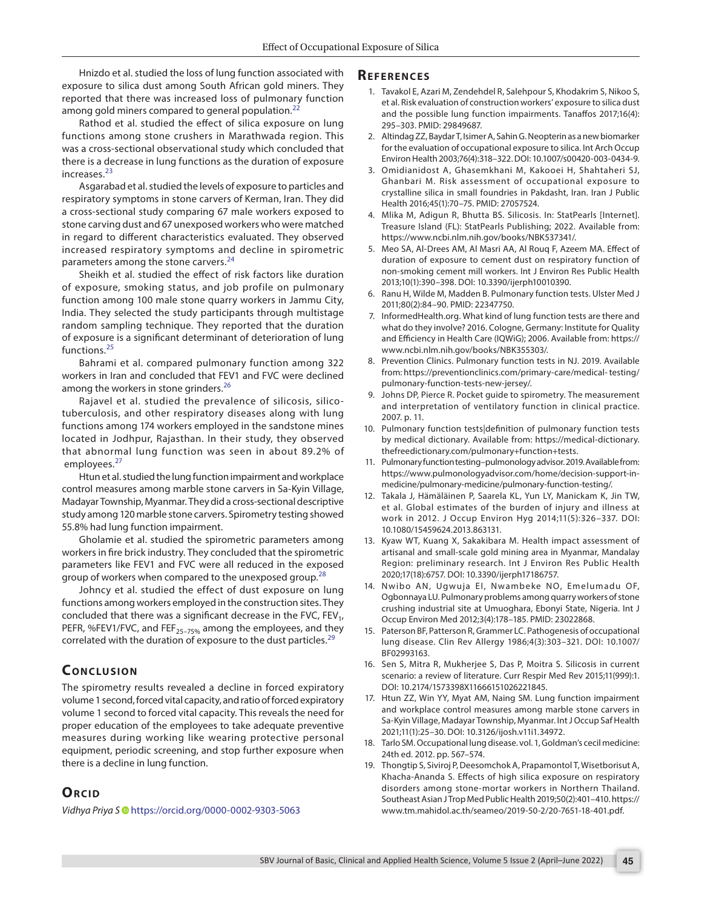Hnizdo et al. studied the loss of lung function associated with exposure to silica dust among South African gold miners. They reported that there was increased loss of pulmonary function among gold miners compared to general population.<sup>[22](#page-3-2)</sup>

Rathod et al. studied the effect of silica exposure on lung functions among stone crushers in Marathwada region. This was a cross-sectional observational study which concluded that there is a decrease in lung functions as the duration of exposure increases.<sup>[23](#page-3-3)</sup>

Asgarabad et al. studied the levels of exposure to particles and respiratory symptoms in stone carvers of Kerman, Iran. They did a cross-sectional study comparing 67 male workers exposed to stone carving dust and 67 unexposed workers who were matched in regard to different characteristics evaluated. They observed increased respiratory symptoms and decline in spirometric parameters among the stone carvers.<sup>[24](#page-3-4)</sup>

Sheikh et al. studied the effect of risk factors like duration of exposure, smoking status, and job profile on pulmonary function among 100 male stone quarry workers in Jammu City, India. They selected the study participants through multistage random sampling technique. They reported that the duration of exposure is a significant determinant of deterioration of lung functions.[25](#page-3-5)

Bahrami et al. compared pulmonary function among 322 workers in Iran and concluded that FEV1 and FVC were declined among the workers in stone grinders.<sup>[26](#page-3-6)</sup>

Rajavel et al. studied the prevalence of silicosis, silicotuberculosis, and other respiratory diseases along with lung functions among 174 workers employed in the sandstone mines located in Jodhpur, Rajasthan. In their study, they observed that abnormal lung function was seen in about 89.2% of employees.<sup>[27](#page-3-7)</sup>

Htun et al. studied the lung function impairment and workplace control measures among marble stone carvers in Sa-Kyin Village, Madayar Township, Myanmar. They did a cross-sectional descriptive study among 120 marble stone carvers. Spirometry testing showed 55.8% had lung function impairment.

Gholamie et al. studied the spirometric parameters among workers in fire brick industry. They concluded that the spirometric parameters like FEV1 and FVC were all reduced in the exposed group of workers when compared to the unexposed group.<sup>[28](#page-3-8)</sup>

Johncy et al. studied the effect of dust exposure on lung functions among workers employed in the construction sites. They concluded that there was a significant decrease in the FVC, FEV<sub>1</sub>, PEFR, %FEV1/FVC, and FEF $_{25-75\%}$  among the employees, and they correlated with the duration of exposure to the dust particles.<sup>[29](#page-3-9)</sup>

# **CONCLUSION**

The spirometry results revealed a decline in forced expiratory volume 1 second, forced vital capacity, and ratio of forced expiratory volume 1 second to forced vital capacity. This reveals the need for proper education of the employees to take adequate preventive measures during working like wearing protective personal equipment, periodic screening, and stop further exposure when there is a decline in lung function.

#### **ORCID**

*Vidhya Priya [S](https://orcid.org/0000-0002-9303-5063)* https://orcid.org/0000-0002-9303-5063

#### **Referen ces**

- <span id="page-2-0"></span>1. Tavakol E, Azari M, Zendehdel R, Salehpour S, Khodakrim S, Nikoo S, et al. Risk evaluation of construction workers' exposure to silica dust and the possible lung function impairments. Tanaffos 2017;16(4): 295–303. PMID: 29849687.
- <span id="page-2-1"></span>2. Altindag ZZ, Baydar T, Isimer A, Sahin G. Neopterin as a new biomarker for the evaluation of occupational exposure to silica. Int Arch Occup Environ Health 2003;76(4):318–322. DOI: 10.1007/s00420-003-0434-9.
- <span id="page-2-2"></span>3. Omidianidost A, Ghasemkhani M, Kakooei H, Shahtaheri SJ, Ghanbari M. Risk assessment of occupational exposure to crystalline silica in small foundries in Pakdasht, Iran. Iran J Public Health 2016;45(1):70–75. PMID: 27057524.
- <span id="page-2-3"></span>4. Mlika M, Adigun R, Bhutta BS. Silicosis. In: StatPearls [Internet]. Treasure Island (FL): StatPearls Publishing; 2022. Available from: https://www.ncbi.nlm.nih.gov/books/NBK537341/.
- <span id="page-2-4"></span>5. Meo SA, Al-Drees AM, Al Masri AA, Al Rouq F, Azeem MA. Effect of duration of exposure to cement dust on respiratory function of non-smoking cement mill workers. Int J Environ Res Public Health 2013;10(1):390–398. DOI: 10.3390/ijerph10010390.
- <span id="page-2-5"></span>6. Ranu H, Wilde M, Madden B. Pulmonary function tests. Ulster Med J 2011;80(2):84–90. PMID: 22347750.
- <span id="page-2-6"></span>7. InformedHealth.org. What kind of lung function tests are there and what do they involve? 2016. Cologne, Germany: Institute for Quality and Efficiency in Health Care (IQWiG); 2006. Available from: https:// www.ncbi.nlm.nih.gov/books/NBK355303/.
- <span id="page-2-7"></span>8. Prevention Clinics. Pulmonary function tests in NJ. 2019. Available from: https://preventionclinics.com/primary-care/medical- testing/ pulmonary-function-tests-new-jersey/.
- <span id="page-2-8"></span>9. Johns DP, Pierce R. Pocket guide to spirometry. The measurement and interpretation of ventilatory function in clinical practice. 2007. p. 11.
- <span id="page-2-9"></span>10. Pulmonary function tests|definition of pulmonary function tests by medical dictionary. Available from: https://medical-dictionary. thefreedictionary.com/pulmonary+function+tests.
- <span id="page-2-10"></span>11. Pulmonary function testing–pulmonology advisor. 2019. Available from: https://www.pulmonologyadvisor.com/home/decision-support-inmedicine/pulmonary-medicine/pulmonary-function-testing/.
- <span id="page-2-11"></span>12. Takala J, Hämäläinen P, Saarela KL, Yun LY, Manickam K, Jin TW, et al. Global estimates of the burden of injury and illness at work in 2012. J Occup Environ Hyg 2014;11(5):326–337. DOI: 10.1080/15459624.2013.863131.
- <span id="page-2-12"></span>13. Kyaw WT, Kuang X, Sakakibara M. Health impact assessment of artisanal and small-scale gold mining area in Myanmar, Mandalay Region: preliminary research. Int J Environ Res Public Health 2020;17(18):6757. DOI: 10.3390/ijerph17186757.
- <span id="page-2-13"></span>14. Nwibo AN, Ugwuja EI, Nwambeke NO, Emelumadu OF, Ogbonnaya LU. Pulmonary problems among quarry workers of stone crushing industrial site at Umuoghara, Ebonyi State, Nigeria. Int J Occup Environ Med 2012;3(4):178–185. PMID: 23022868.
- <span id="page-2-14"></span>15. Paterson BF, Patterson R, Grammer LC. Pathogenesis of occupational lung disease. Clin Rev Allergy 1986;4(3):303–321. DOI: 10.1007/ BF02993163.
- <span id="page-2-15"></span>16. Sen S, Mitra R, Mukherjee S, Das P, Moitra S. Silicosis in current scenario: a review of literature. Curr Respir Med Rev 2015;11(999):1. DOI: 10.2174/1573398X11666151026221845.
- <span id="page-2-16"></span>17. Htun ZZ, Win YY, Myat AM, Naing SM. Lung function impairment and workplace control measures among marble stone carvers in Sa-Kyin Village, Madayar Township, Myanmar. Int J Occup Saf Health 2021;11(1):25–30. DOI: 10.3126/ijosh.v11i1.34972.
- <span id="page-2-17"></span>18. Tarlo SM. Occupational lung disease. vol. 1, Goldman's cecil medicine: 24th ed. 2012. pp. 567–574.
- <span id="page-2-18"></span>19. Thongtip S, Siviroj P, Deesomchok A, Prapamontol T, Wisetborisut A, Khacha-Ananda S. Effects of high silica exposure on respiratory disorders among stone-mortar workers in Northern Thailand. Southeast Asian J Trop Med Public Health 2019;50(2):401–410. https:// www.tm.mahidol.ac.th/seameo/2019-50-2/20-7651-18-401.pdf.